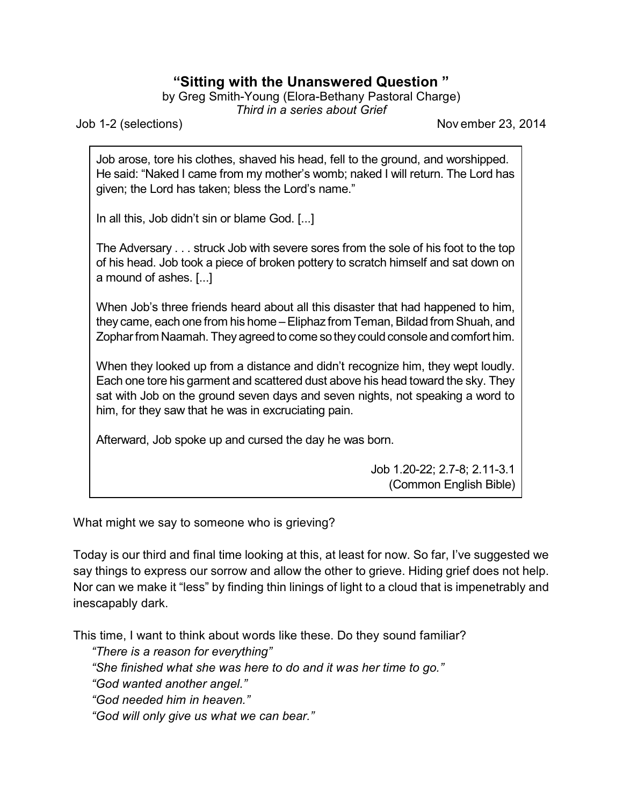## **"Sitting with the Unanswered Question "**

by Greg Smith-Young (Elora-Bethany Pastoral Charge)

*Third in a series about Grief*

Job 1-2 (selections) Nov ember 23, 2014

Job arose, tore his clothes, shaved his head, fell to the ground, and worshipped. He said: "Naked I came from my mother's womb; naked I will return. The Lord has given; the Lord has taken; bless the Lord's name."

In all this, Job didn't sin or blame God. [...]

The Adversary . . . struck Job with severe sores from the sole of his foot to the top of his head. Job took a piece of broken pottery to scratch himself and sat down on a mound of ashes. [...]

When Job's three friends heard about all this disaster that had happened to him, they came, each one from his home –Eliphaz from Teman, Bildad from Shuah, and Zophar from Naamah. They agreed to come so they could console and comfort him.

When they looked up from a distance and didn't recognize him, they wept loudly. Each one tore his garment and scattered dust above his head toward the sky. They sat with Job on the ground seven days and seven nights, not speaking a word to him, for they saw that he was in excruciating pain.

Afterward, Job spoke up and cursed the day he was born.

Job 1.20-22; 2.7-8; 2.11-3.1 (Common English Bible)

What might we say to someone who is grieving?

Today is our third and final time looking at this, at least for now. So far, I've suggested we say things to express our sorrow and allow the other to grieve. Hiding grief does not help. Nor can we make it "less" by finding thin linings of light to a cloud that is impenetrably and inescapably dark.

This time, I want to think about words like these. Do they sound familiar?

*"There is a reason for everything"*

*"She finished what she was here to do and it was her time to go."*

*"God wanted another angel."*

*"God needed him in heaven."*

*"God will only give us what we can bear."*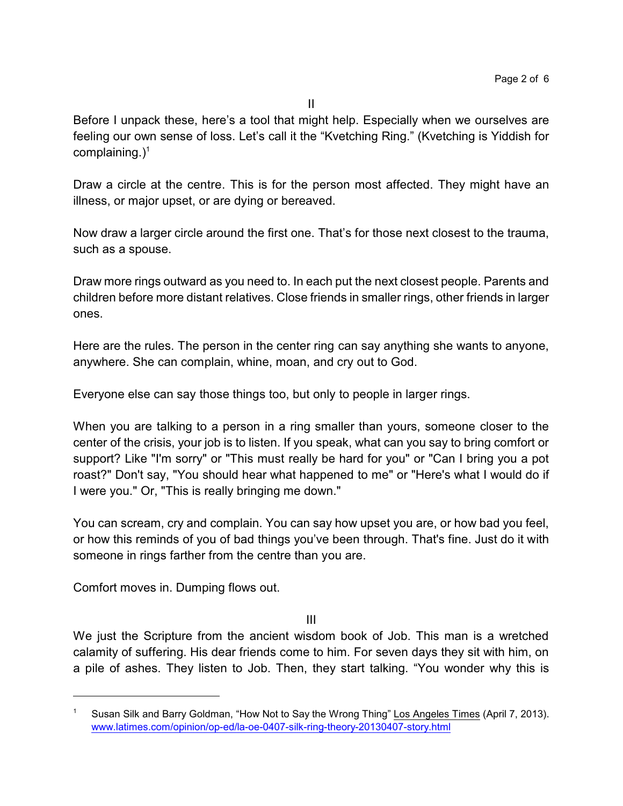Before I unpack these, here's a tool that might help. Especially when we ourselves are feeling our own sense of loss. Let's call it the "Kvetching Ring." (Kvetching is Yiddish for complaining. $)^1$ 

Draw a circle at the centre. This is for the person most affected. They might have an illness, or major upset, or are dying or bereaved.

Now draw a larger circle around the first one. That's for those next closest to the trauma, such as a spouse.

Draw more rings outward as you need to. In each put the next closest people. Parents and children before more distant relatives. Close friends in smaller rings, other friends in larger ones.

Here are the rules. The person in the center ring can say anything she wants to anyone, anywhere. She can complain, whine, moan, and cry out to God.

Everyone else can say those things too, but only to people in larger rings.

When you are talking to a person in a ring smaller than yours, someone closer to the center of the crisis, your job is to listen. If you speak, what can you say to bring comfort or support? Like "I'm sorry" or "This must really be hard for you" or "Can I bring you a pot roast?" Don't say, "You should hear what happened to me" or "Here's what I would do if I were you." Or, "This is really bringing me down."

You can scream, cry and complain. You can say how upset you are, or how bad you feel, or how this reminds of you of bad things you've been through. That's fine. Just do it with someone in rings farther from the centre than you are.

Comfort moves in. Dumping flows out.

III

We just the Scripture from the ancient wisdom book of Job. This man is a wretched calamity of suffering. His dear friends come to him. For seven days they sit with him, on a pile of ashes. They listen to Job. Then, they start talking. "You wonder why this is

Susan Silk and Barry Goldman, "How Not to Say the Wrong Thing" Los Angeles Times (April 7, 2013). [www.latimes.com/opinion/op-ed/la-oe-0407-silk-ring-theory-20130407-story.html](http://www.latimes.com/opinion/op-ed/la-oe-0407-silk-ring-theory-20130407-story.html)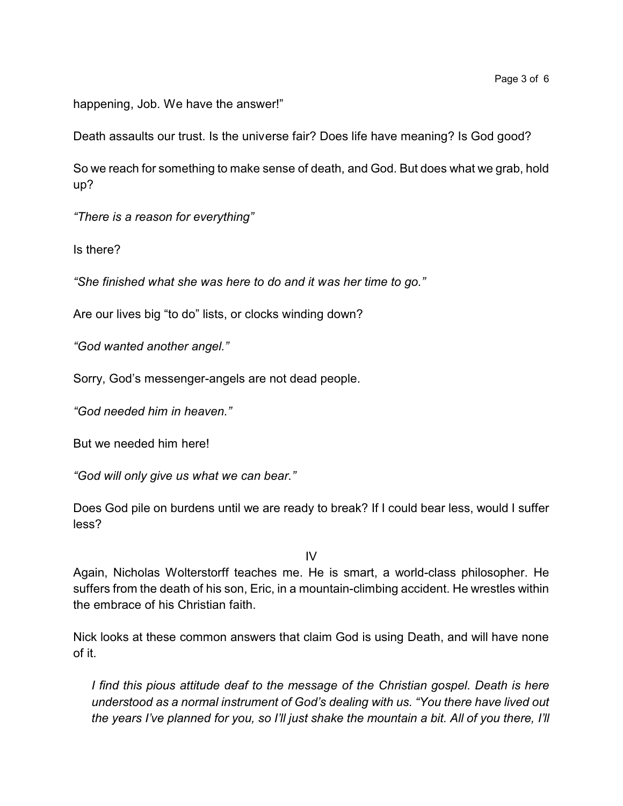happening, Job. We have the answer!"

Death assaults our trust. Is the universe fair? Does life have meaning? Is God good?

So we reach for something to make sense of death, and God. But does what we grab, hold up?

*"There is a reason for everything"*

Is there?

*"She finished what she was here to do and it was her time to go."*

Are our lives big "to do" lists, or clocks winding down?

*"God wanted another angel."*

Sorry, God's messenger-angels are not dead people.

*"God needed him in heaven."*

But we needed him here!

*"God will only give us what we can bear."*

Does God pile on burdens until we are ready to break? If I could bear less, would I suffer less?

IV

Again, Nicholas Wolterstorff teaches me. He is smart, a world-class philosopher. He suffers from the death of his son, Eric, in a mountain-climbing accident. He wrestles within the embrace of his Christian faith.

Nick looks at these common answers that claim God is using Death, and will have none of it.

*I find this pious attitude deaf to the message of the Christian gospel. Death is here understood as a normal instrument of God's dealing with us. "You there have lived out the years I've planned for you, so I'll just shake the mountain a bit. All of you there, I'll*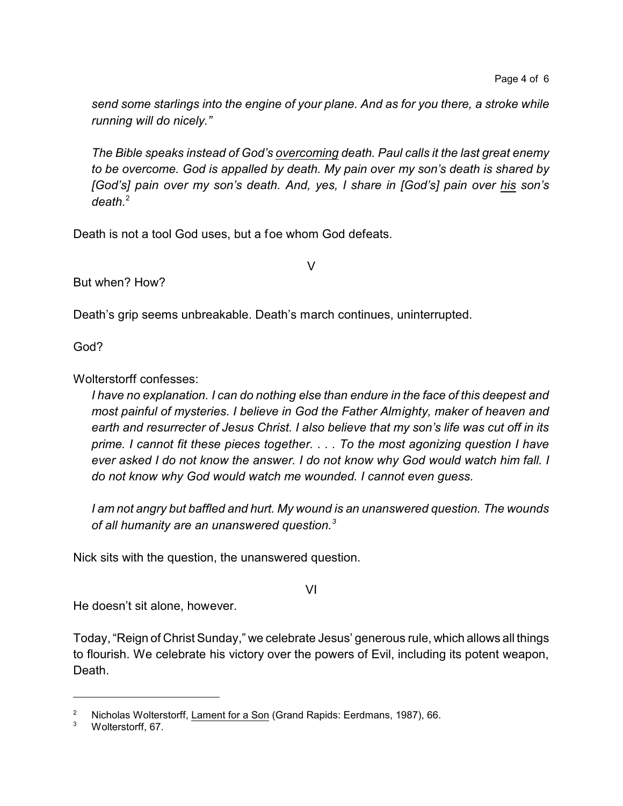*send some starlings into the engine of your plane. And as for you there, a stroke while running will do nicely."*

*The Bible speaks instead of God's overcoming death. Paul calls it the last great enemy to be overcome. God is appalled by death. My pain over my son's death is shared by [God's] pain over my son's death. And, yes, I share in [God's] pain over his son's death.*<sup>2</sup>

V

Death is not a tool God uses, but a foe whom God defeats.

But when? How?

Death's grip seems unbreakable. Death's march continues, uninterrupted.

God?

Wolterstorff confesses:

*I have no explanation. I can do nothing else than endure in the face of this deepest and most painful of mysteries. I believe in God the Father Almighty, maker of heaven and earth and resurrecter of Jesus Christ. I also believe that my son's life was cut off in its prime. I cannot fit these pieces together. . . . To the most agonizing question I have ever asked I do not know the answer. I do not know why God would watch him fall. I do not know why God would watch me wounded. I cannot even guess.*

*I am not angry but baffled and hurt. My wound is an unanswered question. The wounds of all humanity are an unanswered question.<sup>3</sup>*

Nick sits with the question, the unanswered question.

VI

He doesn't sit alone, however.

Today, "Reign of Christ Sunday," we celebrate Jesus' generous rule, which allows all things to flourish. We celebrate his victory over the powers of Evil, including its potent weapon, Death.

<sup>&</sup>lt;sup>2</sup> Nicholas Wolterstorff, Lament for a Son (Grand Rapids: Eerdmans, 1987), 66.<br><sup>3</sup> Moltersterff, 67

Wolterstorff, 67.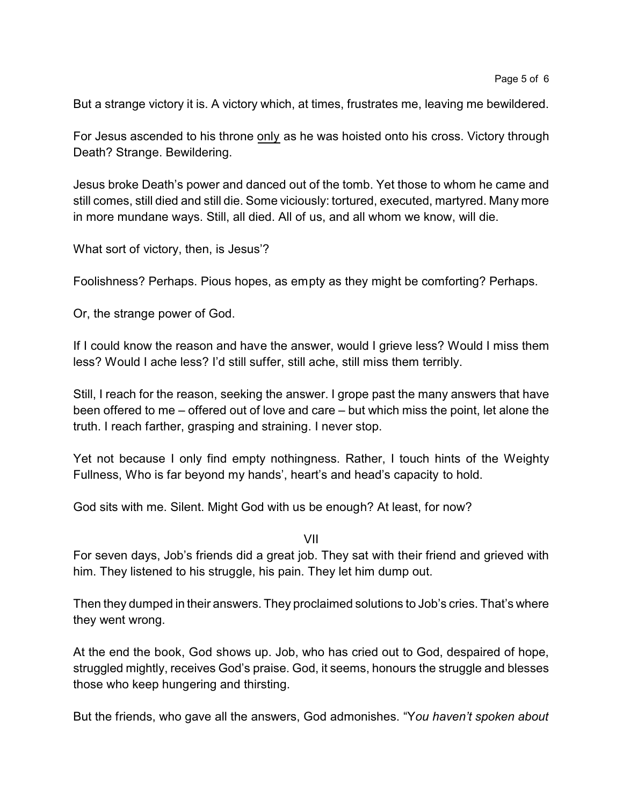But a strange victory it is. A victory which, at times, frustrates me, leaving me bewildered.

For Jesus ascended to his throne only as he was hoisted onto his cross. Victory through Death? Strange. Bewildering.

Jesus broke Death's power and danced out of the tomb. Yet those to whom he came and still comes, still died and still die. Some viciously: tortured, executed, martyred. Many more in more mundane ways. Still, all died. All of us, and all whom we know, will die.

What sort of victory, then, is Jesus'?

Foolishness? Perhaps. Pious hopes, as empty as they might be comforting? Perhaps.

Or, the strange power of God.

If I could know the reason and have the answer, would I grieve less? Would I miss them less? Would I ache less? I'd still suffer, still ache, still miss them terribly.

Still, I reach for the reason, seeking the answer. I grope past the many answers that have been offered to me – offered out of love and care – but which miss the point, let alone the truth. I reach farther, grasping and straining. I never stop.

Yet not because I only find empty nothingness. Rather, I touch hints of the Weighty Fullness, Who is far beyond my hands', heart's and head's capacity to hold.

God sits with me. Silent. Might God with us be enough? At least, for now?

VII

For seven days, Job's friends did a great job. They sat with their friend and grieved with him. They listened to his struggle, his pain. They let him dump out.

Then they dumped in their answers. They proclaimed solutions to Job's cries. That's where they went wrong.

At the end the book, God shows up. Job, who has cried out to God, despaired of hope, struggled mightly, receives God's praise. God, it seems, honours the struggle and blesses those who keep hungering and thirsting.

But the friends, who gave all the answers, God admonishes. "Y*ou haven't spoken about*